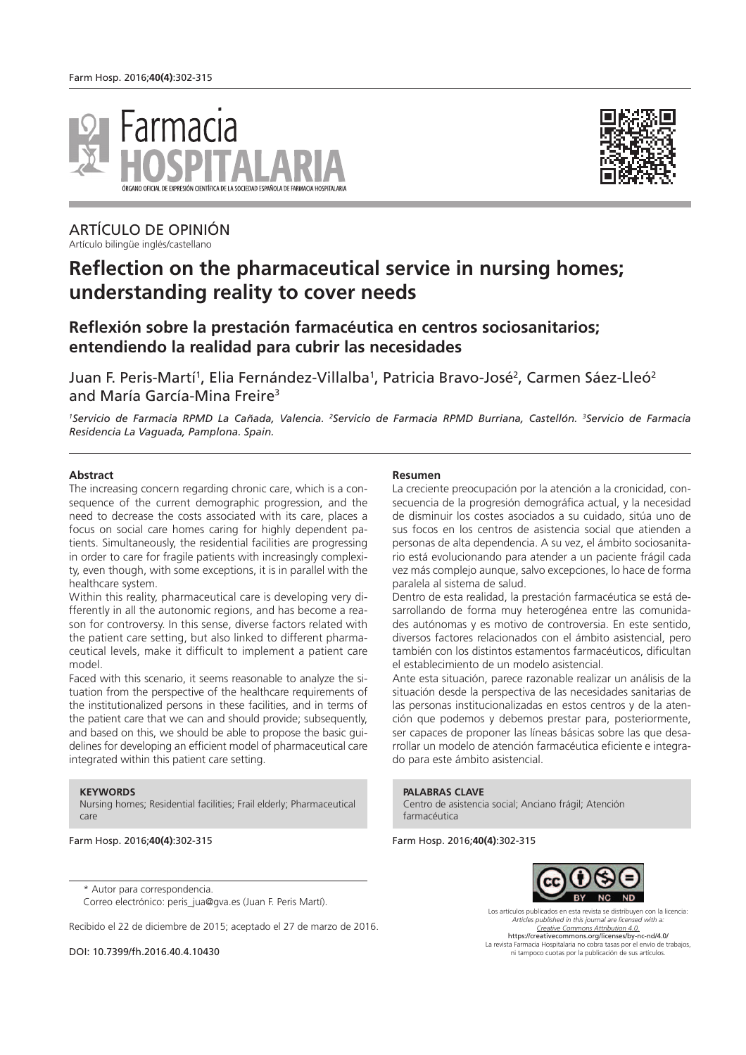



ARTÍCULO DE OPINIÓN Artículo bilingüe inglés/castellano

# **Reflection on the pharmaceutical service in nursing homes; understanding reality to cover needs**

# **Reflexión sobre la prestación farmacéutica en centros sociosanitarios; entendiendo la realidad para cubrir las necesidades**

Juan F. Peris-Martí<sup>1</sup>, Elia Fernández-Villalba<sup>1</sup>, Patricia Bravo-José<sup>2</sup>, Carmen Sáez-Lleó<sup>2</sup> and María García-Mina Freire<sup>3</sup>

*<sup>1</sup>Servicio de Farmacia RPMD La Cañada, Valencia. <sup>2</sup>Servicio de Farmacia RPMD Burriana, Castellón. <sup>3</sup>Servicio de Farmacia Residencia La Vaguada, Pamplona. Spain.*

#### **Abstract**

The increasing concern regarding chronic care, which is a consequence of the current demographic progression, and the need to decrease the costs associated with its care, places a focus on social care homes caring for highly dependent patients. Simultaneously, the residential facilities are progressing in order to care for fragile patients with increasingly complexity, even though, with some exceptions, it is in parallel with the healthcare system.

Within this reality, pharmaceutical care is developing very differently in all the autonomic regions, and has become a reason for controversy. In this sense, diverse factors related with the patient care setting, but also linked to different pharmaceutical levels, make it difficult to implement a patient care model.

Faced with this scenario, it seems reasonable to analyze the situation from the perspective of the healthcare requirements of the institutionalized persons in these facilities, and in terms of the patient care that we can and should provide; subsequently, and based on this, we should be able to propose the basic guidelines for developing an efficient model of pharmaceutical care integrated within this patient care setting.

#### **KEYWORDS**

Nursing homes; Residential facilities; Frail elderly; Pharmaceutical care

Farm Hosp. 2016;**40(4)**:302-315

#### **Resumen**

La creciente preocupación por la atención a la cronicidad, consecuencia de la progresión demográfica actual, y la necesidad de disminuir los costes asociados a su cuidado, sitúa uno de sus focos en los centros de asistencia social que atienden a personas de alta dependencia. A su vez, el ámbito sociosanitario está evolucionando para atender a un paciente frágil cada vez más complejo aunque, salvo excepciones, lo hace de forma paralela al sistema de salud.

Dentro de esta realidad, la prestación farmacéutica se está desarrollando de forma muy heterogénea entre las comunidades autónomas y es motivo de controversia. En este sentido, diversos factores relacionados con el ámbito asistencial, pero también con los distintos estamentos farmacéuticos, dificultan el establecimiento de un modelo asistencial.

Ante esta situación, parece razonable realizar un análisis de la situación desde la perspectiva de las necesidades sanitarias de las personas institucionalizadas en estos centros y de la atención que podemos y debemos prestar para, posteriormente, ser capaces de proponer las líneas básicas sobre las que desarrollar un modelo de atención farmacéutica eficiente e integrado para este ámbito asistencial.

**PALABRAS CLAVE**

Centro de asistencia social; Anciano frágil; Atención farmacéutica

Farm Hosp. 2016;**40(4)**:302-315



Los artículos publicados en esta revista se distribuyen con la licencia: *Articles published in this journal are licensed with a: Creative Commons Attribution 4.0.* https://creativecommons.org/licenses/by-nc-nd/4.0/ La revista Farmacia Hospitalaria no cobra tasas por el envío de trabajos, ni tampoco cuotas por la publicación de sus artículos.

\* Autor para correspondencia. Correo electrónico: peris\_jua@gva.es (Juan F. Peris Martí).

Recibido el 22 de diciembre de 2015; aceptado el 27 de marzo de 2016.

DOI: 10.7399/fh.2016.40.4.10430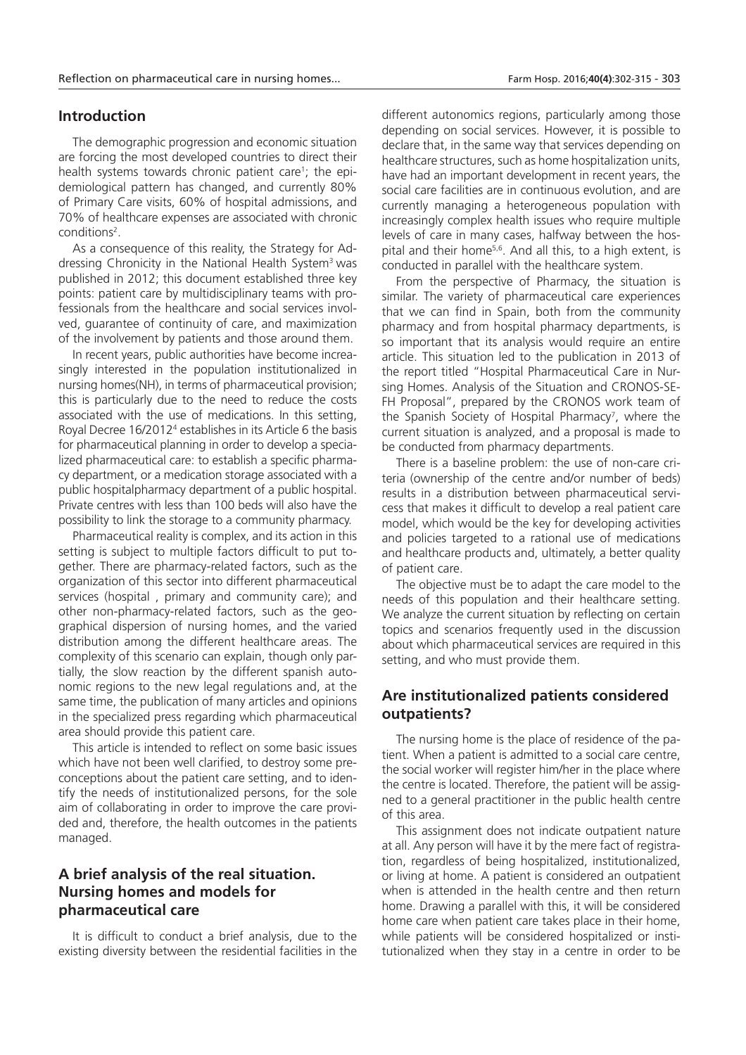#### **Introduction**

The demographic progression and economic situation are forcing the most developed countries to direct their health systems towards chronic patient care<sup>1</sup>; the epidemiological pattern has changed, and currently 80% of Primary Care visits, 60% of hospital admissions, and 70% of healthcare expenses are associated with chronic conditions<sup>2</sup>.

As a consequence of this reality, the Strategy for Addressing Chronicity in the National Health System<sup>3</sup> was published in 2012; this document established three key points: patient care by multidisciplinary teams with professionals from the healthcare and social services involved, guarantee of continuity of care, and maximization of the involvement by patients and those around them.

In recent years, public authorities have become increasingly interested in the population institutionalized in nursing homes(NH), in terms of pharmaceutical provision; this is particularly due to the need to reduce the costs associated with the use of medications. In this setting, Royal Decree 16/2012<sup>4</sup> establishes in its Article 6 the basis for pharmaceutical planning in order to develop a specialized pharmaceutical care: to establish a specific pharmacy department, or a medication storage associated with a public hospitalpharmacy department of a public hospital. Private centres with less than 100 beds will also have the possibility to link the storage to a community pharmacy.

Pharmaceutical reality is complex, and its action in this setting is subject to multiple factors difficult to put together. There are pharmacy-related factors, such as the organization of this sector into different pharmaceutical services (hospital , primary and community care); and other non-pharmacy-related factors, such as the geographical dispersion of nursing homes, and the varied distribution among the different healthcare areas. The complexity of this scenario can explain, though only partially, the slow reaction by the different spanish autonomic regions to the new legal regulations and, at the same time, the publication of many articles and opinions in the specialized press regarding which pharmaceutical area should provide this patient care.

This article is intended to reflect on some basic issues which have not been well clarified, to destroy some preconceptions about the patient care setting, and to identify the needs of institutionalized persons, for the sole aim of collaborating in order to improve the care provided and, therefore, the health outcomes in the patients managed.

### **A brief analysis of the real situation. Nursing homes and models for pharmaceutical care**

It is difficult to conduct a brief analysis, due to the existing diversity between the residential facilities in the

different autonomics regions, particularly among those depending on social services. However, it is possible to declare that, in the same way that services depending on healthcare structures, such as home hospitalization units, have had an important development in recent years, the social care facilities are in continuous evolution, and are currently managing a heterogeneous population with increasingly complex health issues who require multiple levels of care in many cases, halfway between the hospital and their home<sup>5,6</sup>. And all this, to a high extent, is conducted in parallel with the healthcare system.

From the perspective of Pharmacy, the situation is similar. The variety of pharmaceutical care experiences that we can find in Spain, both from the community pharmacy and from hospital pharmacy departments, is so important that its analysis would require an entire article. This situation led to the publication in 2013 of the report titled "Hospital Pharmaceutical Care in Nursing Homes. Analysis of the Situation and CRONOS-SE-FH Proposal", prepared by the CRONOS work team of the Spanish Society of Hospital Pharmacy<sup>7</sup>, where the current situation is analyzed, and a proposal is made to be conducted from pharmacy departments.

There is a baseline problem: the use of non-care criteria (ownership of the centre and/or number of beds) results in a distribution between pharmaceutical servicess that makes it difficult to develop a real patient care model, which would be the key for developing activities and policies targeted to a rational use of medications and healthcare products and, ultimately, a better quality of patient care.

The objective must be to adapt the care model to the needs of this population and their healthcare setting. We analyze the current situation by reflecting on certain topics and scenarios frequently used in the discussion about which pharmaceutical services are required in this setting, and who must provide them.

### **Are institutionalized patients considered outpatients?**

The nursing home is the place of residence of the patient. When a patient is admitted to a social care centre, the social worker will register him/her in the place where the centre is located. Therefore, the patient will be assigned to a general practitioner in the public health centre of this area.

This assignment does not indicate outpatient nature at all. Any person will have it by the mere fact of registration, regardless of being hospitalized, institutionalized, or living at home. A patient is considered an outpatient when is attended in the health centre and then return home. Drawing a parallel with this, it will be considered home care when patient care takes place in their home, while patients will be considered hospitalized or institutionalized when they stay in a centre in order to be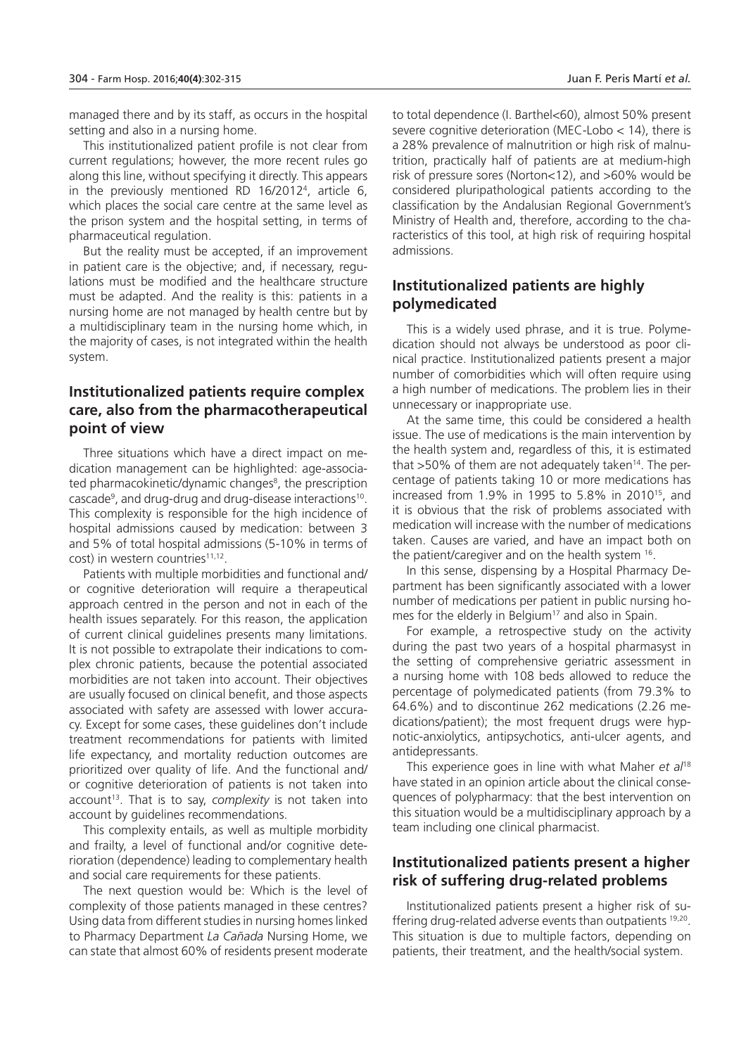managed there and by its staff, as occurs in the hospital setting and also in a nursing home.

This institutionalized patient profile is not clear from current regulations; however, the more recent rules go along this line, without specifying it directly. This appears in the previously mentioned RD 16/2012<sup>4</sup> , article 6, which places the social care centre at the same level as the prison system and the hospital setting, in terms of pharmaceutical regulation.

But the reality must be accepted, if an improvement in patient care is the objective; and, if necessary, regulations must be modified and the healthcare structure must be adapted. And the reality is this: patients in a nursing home are not managed by health centre but by a multidisciplinary team in the nursing home which, in the majority of cases, is not integrated within the health system.

### **Institutionalized patients require complex care, also from the pharmacotherapeutical point of view**

Three situations which have a direct impact on medication management can be highlighted: age-associated pharmacokinetic/dynamic changes<sup>8</sup>, the prescription cascade<sup>9</sup>, and drug-drug and drug-disease interactions<sup>10</sup>. This complexity is responsible for the high incidence of hospital admissions caused by medication: between 3 and 5% of total hospital admissions (5-10% in terms of cost) in western countries<sup>11,12</sup>.

Patients with multiple morbidities and functional and/ or cognitive deterioration will require a therapeutical approach centred in the person and not in each of the health issues separately. For this reason, the application of current clinical guidelines presents many limitations. It is not possible to extrapolate their indications to complex chronic patients, because the potential associated morbidities are not taken into account. Their objectives are usually focused on clinical benefit, and those aspects associated with safety are assessed with lower accuracy. Except for some cases, these guidelines don't include treatment recommendations for patients with limited life expectancy, and mortality reduction outcomes are prioritized over quality of life. And the functional and/ or cognitive deterioration of patients is not taken into account<sup>13</sup>. That is to say, *complexity* is not taken into account by guidelines recommendations.

This complexity entails, as well as multiple morbidity and frailty, a level of functional and/or cognitive deterioration (dependence) leading to complementary health and social care requirements for these patients.

The next question would be: Which is the level of complexity of those patients managed in these centres? Using data from different studies in nursing homes linked to Pharmacy Department *La Cañada* Nursing Home, we can state that almost 60% of residents present moderate

to total dependence (I. Barthel<60), almost 50% present severe cognitive deterioration (MEC-Lobo < 14), there is a 28% prevalence of malnutrition or high risk of malnutrition, practically half of patients are at medium-high risk of pressure sores (Norton<12), and >60% would be considered pluripathological patients according to the classification by the Andalusian Regional Government's Ministry of Health and, therefore, according to the characteristics of this tool, at high risk of requiring hospital admissions.

### **Institutionalized patients are highly polymedicated**

This is a widely used phrase, and it is true. Polymedication should not always be understood as poor clinical practice. Institutionalized patients present a major number of comorbidities which will often require using a high number of medications. The problem lies in their unnecessary or inappropriate use.

At the same time, this could be considered a health issue. The use of medications is the main intervention by the health system and, regardless of this, it is estimated that  $>50\%$  of them are not adequately taken<sup>14</sup>. The percentage of patients taking 10 or more medications has increased from 1.9% in 1995 to 5.8% in 2010<sup>15</sup>, and it is obvious that the risk of problems associated with medication will increase with the number of medications taken. Causes are varied, and have an impact both on the patient/caregiver and on the health system <sup>16</sup>.

In this sense, dispensing by a Hospital Pharmacy Department has been significantly associated with a lower number of medications per patient in public nursing homes for the elderly in Belgium<sup>17</sup> and also in Spain.

For example, a retrospective study on the activity during the past two years of a hospital pharmasyst in the setting of comprehensive geriatric assessment in a nursing home with 108 beds allowed to reduce the percentage of polymedicated patients (from 79.3% to 64.6%) and to discontinue 262 medications (2.26 medications/patient); the most frequent drugs were hypnotic-anxiolytics, antipsychotics, anti-ulcer agents, and antidepressants.

This experience goes in line with what Maher *et al*<sup>18</sup> have stated in an opinion article about the clinical consequences of polypharmacy: that the best intervention on this situation would be a multidisciplinary approach by a team including one clinical pharmacist.

### **Institutionalized patients present a higher risk of suffering drug-related problems**

Institutionalized patients present a higher risk of suffering drug-related adverse events than outpatients 19,20 . This situation is due to multiple factors, depending on patients, their treatment, and the health/social system.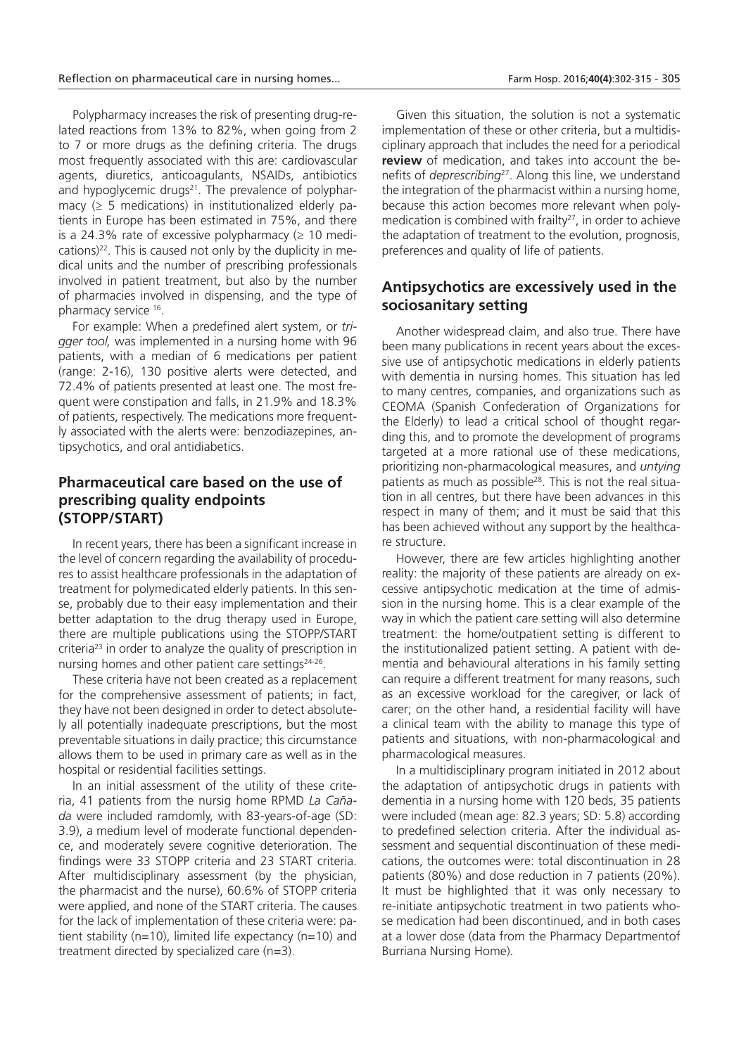Polypharmacy increases the risk of presenting drug-related reactions from 13% to 82%, when going from 2 to 7 or more drugs as the defining criteria. The drugs most frequently associated with this are: cardiovascular agents, diuretics, anticoagulants, NSAIDs, antibiotics and hypoglycemic drugs $21$ . The prevalence of polypharmacy  $(≥ 5$  medications) in institutionalized elderly patients in Europe has been estimated in 75%, and there is a 24.3% rate of excessive polypharmacy  $( \geq 10 \text{ medi}$ cations)22. This is caused not only by the duplicity in medical units and the number of prescribing professionals involved in patient treatment, but also by the number of pharmacies involved in dispensing, and the type of pharmacy service <sup>16</sup> .

For example: When a predefined alert system, or *trigger tool,* was implemented in a nursing home with 96 patients, with a median of 6 medications per patient (range: 2-16), 130 positive alerts were detected, and 72.4% of patients presented at least one. The most frequent were constipation and falls, in 21.9% and 18.3% of patients, respectively. The medications more frequently associated with the alerts were: benzodiazepines, antipsychotics, and oral antidiabetics.

### **Pharmaceutical care based on the use of prescribing quality endpoints (STOPP/START)**

In recent years, there has been a significant increase in the level of concern regarding the availability of procedures to assist healthcare professionals in the adaptation of treatment for polymedicated elderly patients. In this sense, probably due to their easy implementation and their better adaptation to the drug therapy used in Europe, there are multiple publications using the STOPP/START criteria<sup>23</sup> in order to analyze the quality of prescription in nursing homes and other patient care settings<sup>24-26</sup>.

These criteria have not been created as a replacement for the comprehensive assessment of patients; in fact, they have not been designed in order to detect absolutely all potentially inadequate prescriptions, but the most preventable situations in daily practice; this circumstance allows them to be used in primary care as well as in the hospital or residential facilities settings.

In an initial assessment of the utility of these criteria, 41 patients from the nursig home RPMD *La Cañada* were included ramdomly, with 83-years-of-age (SD: 3.9), a medium level of moderate functional dependence, and moderately severe cognitive deterioration. The findings were 33 STOPP criteria and 23 START criteria. After multidisciplinary assessment (by the physician, the pharmacist and the nurse), 60.6% of STOPP criteria were applied, and none of the START criteria. The causes for the lack of implementation of these criteria were: patient stability ( $n=10$ ), limited life expectancy ( $n=10$ ) and treatment directed by specialized care (n=3).

Given this situation, the solution is not a systematic implementation of these or other criteria, but a multidisciplinary approach that includes the need for a periodical **review** of medication, and takes into account the benefits of *deprescribing*<sup>27</sup>. Along this line, we understand the integration of the pharmacist within a nursing home, because this action becomes more relevant when polymedication is combined with frailty<sup>27</sup>, in order to achieve the adaptation of treatment to the evolution, prognosis, preferences and quality of life of patients.

### **Antipsychotics are excessively used in the sociosanitary setting**

Another widespread claim, and also true. There have been many publications in recent years about the excessive use of antipsychotic medications in elderly patients with dementia in nursing homes. This situation has led to many centres, companies, and organizations such as CEOMA (Spanish Confederation of Organizations for the Elderly) to lead a critical school of thought regarding this, and to promote the development of programs targeted at a more rational use of these medications, prioritizing non-pharmacological measures, and *untying* patient*s* as much as possible28. This is not the real situation in all centres, but there have been advances in this respect in many of them; and it must be said that this has been achieved without any support by the healthcare structure.

However, there are few articles highlighting another reality: the majority of these patients are already on excessive antipsychotic medication at the time of admission in the nursing home. This is a clear example of the way in which the patient care setting will also determine treatment: the home/outpatient setting is different to the institutionalized patient setting. A patient with dementia and behavioural alterations in his family setting can require a different treatment for many reasons, such as an excessive workload for the caregiver, or lack of carer; on the other hand, a residential facility will have a clinical team with the ability to manage this type of patients and situations, with non-pharmacological and pharmacological measures.

In a multidisciplinary program initiated in 2012 about the adaptation of antipsychotic drugs in patients with dementia in a nursing home with 120 beds, 35 patients were included (mean age: 82.3 years; SD: 5.8) according to predefined selection criteria. After the individual assessment and sequential discontinuation of these medications, the outcomes were: total discontinuation in 28 patients (80%) and dose reduction in 7 patients (20%). It must be highlighted that it was only necessary to re-initiate antipsychotic treatment in two patients whose medication had been discontinued, and in both cases at a lower dose (data from the Pharmacy Departmentof Burriana Nursing Home).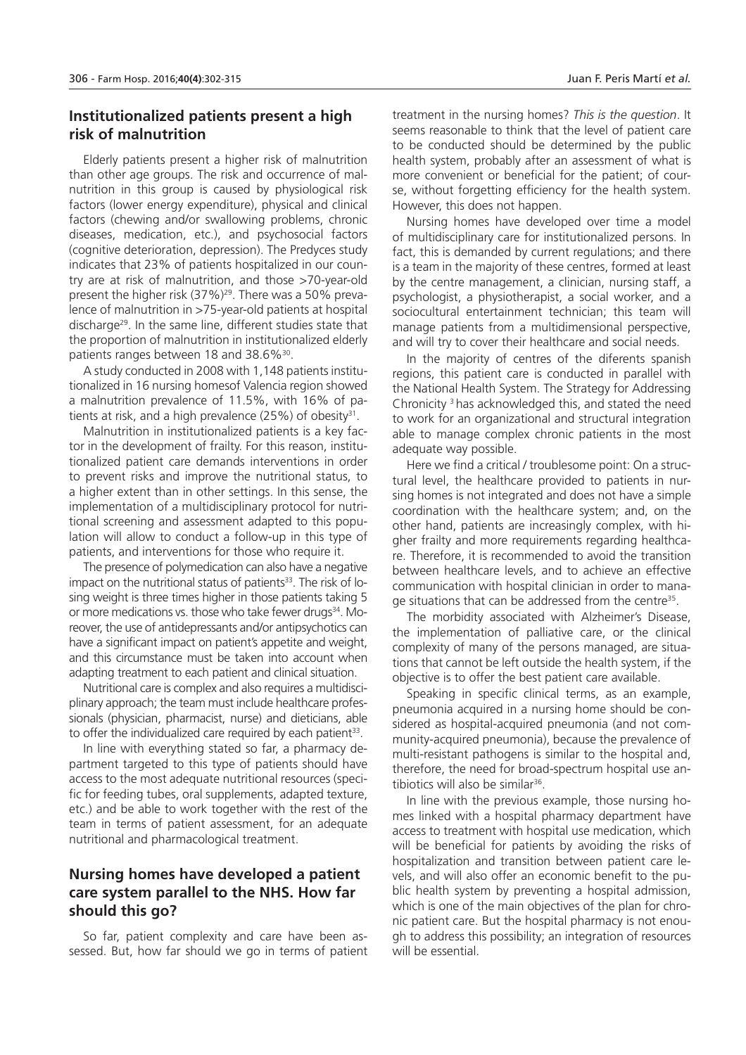### **Institutionalized patients present a high risk of malnutrition**

Elderly patients present a higher risk of malnutrition than other age groups. The risk and occurrence of malnutrition in this group is caused by physiological risk factors (lower energy expenditure), physical and clinical factors (chewing and/or swallowing problems, chronic diseases, medication, etc.), and psychosocial factors (cognitive deterioration, depression). The Predyces study indicates that 23% of patients hospitalized in our country are at risk of malnutrition, and those >70-year-old present the higher risk (37%)<sup>29</sup>. There was a 50% prevalence of malnutrition in >75-year-old patients at hospital discharge<sup>29</sup>. In the same line, different studies state that the proportion of malnutrition in institutionalized elderly patients ranges between 18 and 38.6%<sup>30</sup>.

A study conducted in 2008 with 1,148 patients institutionalized in 16 nursing homesof Valencia region showed a malnutrition prevalence of 11.5%, with 16% of patients at risk, and a high prevalence (25%) of obesity<sup>31</sup>.

Malnutrition in institutionalized patients is a key factor in the development of frailty. For this reason, institutionalized patient care demands interventions in order to prevent risks and improve the nutritional status, to a higher extent than in other settings. In this sense, the implementation of a multidisciplinary protocol for nutritional screening and assessment adapted to this population will allow to conduct a follow-up in this type of patients, and interventions for those who require it.

The presence of polymedication can also have a negative impact on the nutritional status of patients<sup>33</sup>. The risk of losing weight is three times higher in those patients taking 5 or more medications vs. those who take fewer drugs<sup>34</sup>. Moreover, the use of antidepressants and/or antipsychotics can have a significant impact on patient's appetite and weight, and this circumstance must be taken into account when adapting treatment to each patient and clinical situation.

Nutritional care is complex and also requires a multidisciplinary approach; the team must include healthcare professionals (physician, pharmacist, nurse) and dieticians, able to offer the individualized care required by each patient $^{33}$ .

In line with everything stated so far, a pharmacy department targeted to this type of patients should have access to the most adequate nutritional resources (specific for feeding tubes, oral supplements, adapted texture, etc.) and be able to work together with the rest of the team in terms of patient assessment, for an adequate nutritional and pharmacological treatment.

### **Nursing homes have developed a patient care system parallel to the NHS. How far should this go?**

So far, patient complexity and care have been assessed. But, how far should we go in terms of patient treatment in the nursing homes? *This is the question*. It seems reasonable to think that the level of patient care to be conducted should be determined by the public health system, probably after an assessment of what is more convenient or beneficial for the patient; of course, without forgetting efficiency for the health system. However, this does not happen.

Nursing homes have developed over time a model of multidisciplinary care for institutionalized persons. In fact, this is demanded by current regulations; and there is a team in the majority of these centres, formed at least by the centre management, a clinician, nursing staff, a psychologist, a physiotherapist, a social worker, and a sociocultural entertainment technician; this team will manage patients from a multidimensional perspective, and will try to cover their healthcare and social needs.

In the majority of centres of the diferents spanish regions, this patient care is conducted in parallel with the National Health System. The Strategy for Addressing Chronicity <sup>3</sup>has acknowledged this, and stated the need to work for an organizational and structural integration able to manage complex chronic patients in the most adequate way possible.

Here we find a critical / troublesome point: On a structural level, the healthcare provided to patients in nursing homes is not integrated and does not have a simple coordination with the healthcare system; and, on the other hand, patients are increasingly complex, with higher frailty and more requirements regarding healthcare. Therefore, it is recommended to avoid the transition between healthcare levels, and to achieve an effective communication with hospital clinician in order to manage situations that can be addressed from the centre<sup>35</sup>.

The morbidity associated with Alzheimer's Disease, the implementation of palliative care, or the clinical complexity of many of the persons managed, are situations that cannot be left outside the health system, if the objective is to offer the best patient care available.

Speaking in specific clinical terms, as an example, pneumonia acquired in a nursing home should be considered as hospital-acquired pneumonia (and not community-acquired pneumonia), because the prevalence of multi-resistant pathogens is similar to the hospital and, therefore, the need for broad-spectrum hospital use antibiotics will also be similar<sup>36</sup>.

In line with the previous example, those nursing homes linked with a hospital pharmacy department have access to treatment with hospital use medication, which will be beneficial for patients by avoiding the risks of hospitalization and transition between patient care levels, and will also offer an economic benefit to the public health system by preventing a hospital admission, which is one of the main objectives of the plan for chronic patient care. But the hospital pharmacy is not enough to address this possibility; an integration of resources will be essential.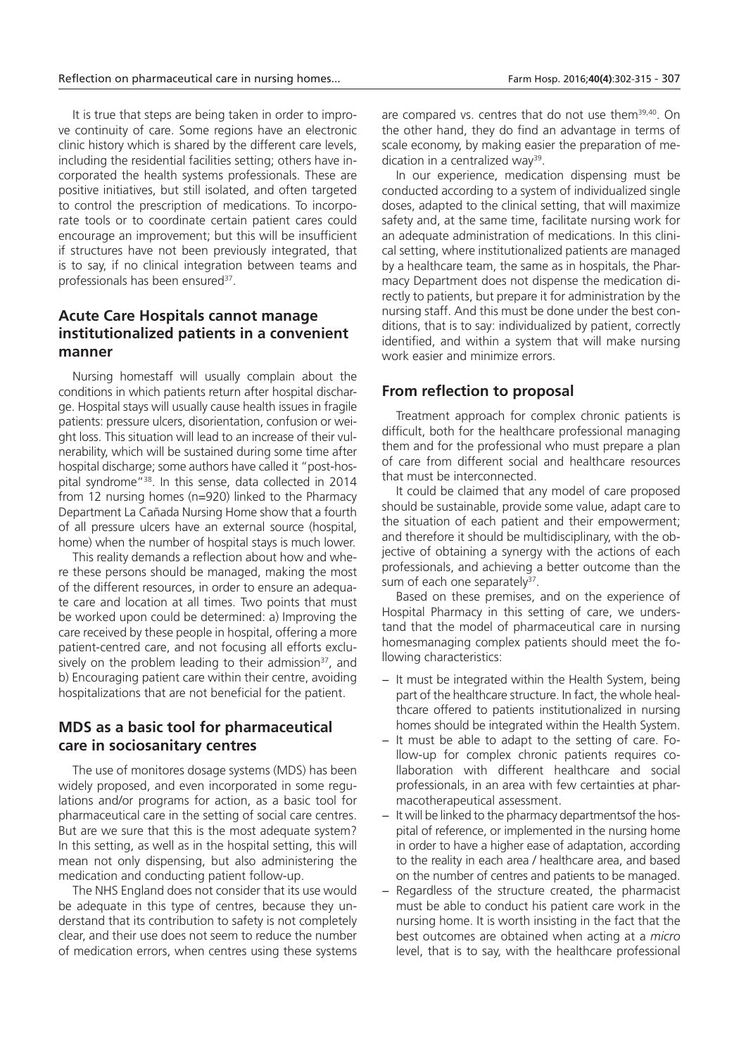It is true that steps are being taken in order to improve continuity of care. Some regions have an electronic clinic history which is shared by the different care levels, including the residential facilities setting; others have incorporated the health systems professionals. These are positive initiatives, but still isolated, and often targeted to control the prescription of medications. To incorporate tools or to coordinate certain patient cares could encourage an improvement; but this will be insufficient if structures have not been previously integrated, that is to say, if no clinical integration between teams and professionals has been ensured<sup>37</sup>.

### **Acute Care Hospitals cannot manage institutionalized patients in a convenient manner**

Nursing homestaff will usually complain about the conditions in which patients return after hospital discharge. Hospital stays will usually cause health issues in fragile patients: pressure ulcers, disorientation, confusion or weight loss. This situation will lead to an increase of their vulnerability, which will be sustained during some time after hospital discharge; some authors have called it "post-hospital syndrome<sup>"38</sup>. In this sense, data collected in 2014 from 12 nursing homes (n=920) linked to the Pharmacy Department La Cañada Nursing Home show that a fourth of all pressure ulcers have an external source (hospital, home) when the number of hospital stays is much lower.

This reality demands a reflection about how and where these persons should be managed, making the most of the different resources, in order to ensure an adequate care and location at all times. Two points that must be worked upon could be determined: a) Improving the care received by these people in hospital, offering a more patient-centred care, and not focusing all efforts exclusively on the problem leading to their admission<sup>37</sup>, and b) Encouraging patient care within their centre, avoiding hospitalizations that are not beneficial for the patient.

### **MDS as a basic tool for pharmaceutical care in sociosanitary centres**

The use of monitores dosage systems (MDS) has been widely proposed, and even incorporated in some regulations and/or programs for action, as a basic tool for pharmaceutical care in the setting of social care centres. But are we sure that this is the most adequate system? In this setting, as well as in the hospital setting, this will mean not only dispensing, but also administering the medication and conducting patient follow-up.

The NHS England does not consider that its use would be adequate in this type of centres, because they understand that its contribution to safety is not completely clear, and their use does not seem to reduce the number of medication errors, when centres using these systems are compared vs. centres that do not use them<sup>39,40</sup>. On the other hand, they do find an advantage in terms of scale economy, by making easier the preparation of medication in a centralized way<sup>39</sup>.

In our experience, medication dispensing must be conducted according to a system of individualized single doses, adapted to the clinical setting, that will maximize safety and, at the same time, facilitate nursing work for an adequate administration of medications. In this clinical setting, where institutionalized patients are managed by a healthcare team, the same as in hospitals, the Pharmacy Department does not dispense the medication directly to patients, but prepare it for administration by the nursing staff. And this must be done under the best conditions, that is to say: individualized by patient, correctly identified, and within a system that will make nursing work easier and minimize errors.

### **From reflection to proposal**

Treatment approach for complex chronic patients is difficult, both for the healthcare professional managing them and for the professional who must prepare a plan of care from different social and healthcare resources that must be interconnected.

It could be claimed that any model of care proposed should be sustainable, provide some value, adapt care to the situation of each patient and their empowerment; and therefore it should be multidisciplinary, with the objective of obtaining a synergy with the actions of each professionals, and achieving a better outcome than the sum of each one separately<sup>37</sup>.

Based on these premises, and on the experience of Hospital Pharmacy in this setting of care, we understand that the model of pharmaceutical care in nursing homesmanaging complex patients should meet the following characteristics:

- − It must be integrated within the Health System, being part of the healthcare structure. In fact, the whole healthcare offered to patients institutionalized in nursing homes should be integrated within the Health System.
- − It must be able to adapt to the setting of care. Follow-up for complex chronic patients requires collaboration with different healthcare and social professionals, in an area with few certainties at pharmacotherapeutical assessment.
- − It will be linked to the pharmacy departmentsof the hospital of reference, or implemented in the nursing home in order to have a higher ease of adaptation, according to the reality in each area / healthcare area, and based on the number of centres and patients to be managed.
- − Regardless of the structure created, the pharmacist must be able to conduct his patient care work in the nursing home. It is worth insisting in the fact that the best outcomes are obtained when acting at a *micro* level, that is to say, with the healthcare professional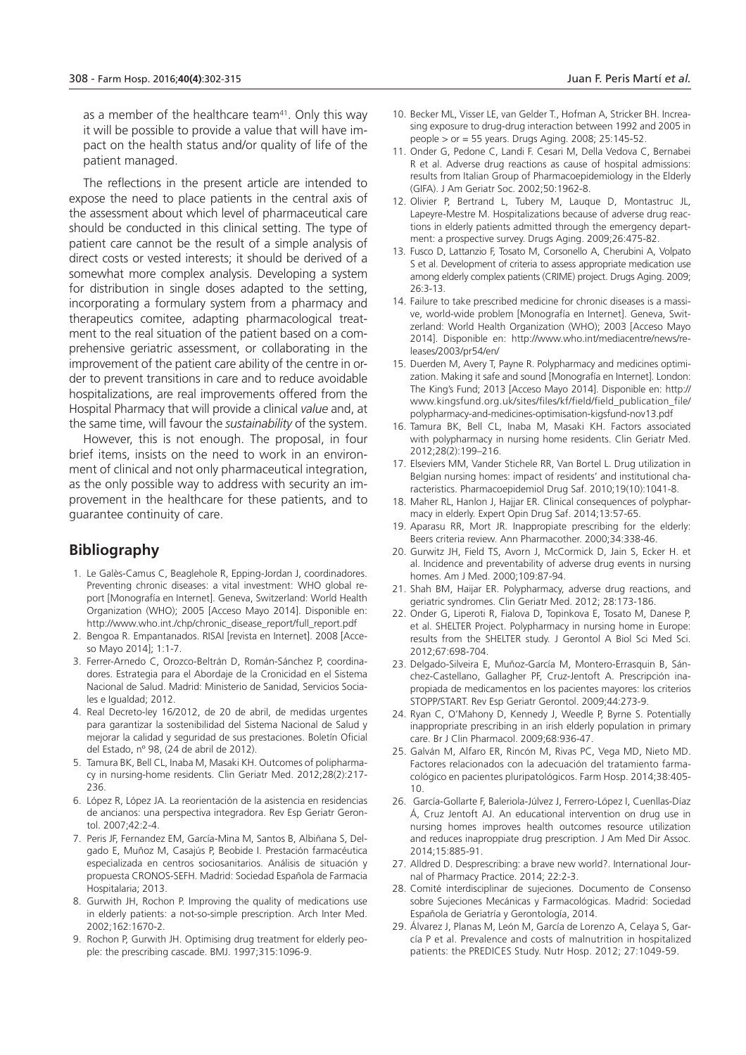as a member of the healthcare team<sup>41</sup>. Only this way it will be possible to provide a value that will have impact on the health status and/or quality of life of the patient managed.

The reflections in the present article are intended to expose the need to place patients in the central axis of the assessment about which level of pharmaceutical care should be conducted in this clinical setting. The type of patient care cannot be the result of a simple analysis of direct costs or vested interests; it should be derived of a somewhat more complex analysis. Developing a system for distribution in single doses adapted to the setting, incorporating a formulary system from a pharmacy and therapeutics comitee, adapting pharmacological treatment to the real situation of the patient based on a comprehensive geriatric assessment, or collaborating in the improvement of the patient care ability of the centre in order to prevent transitions in care and to reduce avoidable hospitalizations, are real improvements offered from the Hospital Pharmacy that will provide a clinical *value* and, at the same time, will favour the *sustainability* of the system.

However, this is not enough. The proposal, in four brief items, insists on the need to work in an environment of clinical and not only pharmaceutical integration, as the only possible way to address with security an improvement in the healthcare for these patients, and to guarantee continuity of care.

#### **Bibliography**

- 1. Le Galès-Camus C, Beaglehole R, Epping-Jordan J, coordinadores. Preventing chronic diseases: a vital investment: WHO global report [Monografía en Internet]. Geneva, Switzerland: World Health Organization (WHO); 2005 [Acceso Mayo 2014]. Disponible en: http://www.who.int./chp/chronic\_disease\_report/full\_report.pdf
- 2. Bengoa R. Empantanados. RISAI [revista en Internet]. 2008 [Acceso Mayo 2014]; 1:1-7.
- 3. Ferrer-Arnedo C, Orozco-Beltrán D, Román-Sánchez P, coordinadores. Estrategia para el Abordaje de la Cronicidad en el Sistema Nacional de Salud. Madrid: Ministerio de Sanidad, Servicios Sociales e Igualdad; 2012.
- 4. Real Decreto-ley 16/2012, de 20 de abril, de medidas urgentes para garantizar la sostenibilidad del Sistema Nacional de Salud y mejorar la calidad y seguridad de sus prestaciones. Boletín Oficial del Estado, nº 98, (24 de abril de 2012).
- 5. Tamura BK, Bell CL, Inaba M, Masaki KH. Outcomes of polipharmacy in nursing-home residents. Clin Geriatr Med. 2012;28(2):217- 236.
- 6. López R, López JA. La reorientación de la asistencia en residencias de ancianos: una perspectiva integradora. Rev Esp Geriatr Gerontol. 2007;42:2-4.
- 7. Peris JF, Fernandez EM, García-Mina M, Santos B, Albiñana S, Delgado E, Muñoz M, Casajús P, Beobide I. Prestación farmacéutica especializada en centros sociosanitarios. Análisis de situación y propuesta CRONOS-SEFH. Madrid: Sociedad Española de Farmacia Hospitalaria; 2013.
- 8. Gurwith JH, Rochon P. Improving the quality of medications use in elderly patients: a not-so-simple prescription. Arch Inter Med. 2002;162:1670-2.
- 9. Rochon P, Gurwith JH. Optimising drug treatment for elderly people: the prescribing cascade. BMJ. 1997;315:1096-9.
- 10. Becker ML, Visser LE, van Gelder T., Hofman A, Stricker BH. Increasing exposure to drug-drug interaction between 1992 and 2005 in people > or = 55 years. Drugs Aging. 2008; 25:145-52.
- 11. Onder G, Pedone C, Landi F. Cesari M, Della Vedova C, Bernabei R et al. Adverse drug reactions as cause of hospital admissions: results from Italian Group of Pharmacoepidemiology in the Elderly (GIFA). J Am Geriatr Soc. 2002;50:1962-8.
- 12. Olivier P, Bertrand L, Tubery M, Lauque D, Montastruc JL, Lapeyre-Mestre M. Hospitalizations because of adverse drug reactions in elderly patients admitted through the emergency department: a prospective survey. Drugs Aging. 2009;26:475-82.
- 13. Fusco D, Lattanzio F, Tosato M, Corsonello A, Cherubini A, Volpato S et al. Development of criteria to assess appropriate medication use among elderly complex patients (CRIME) project. Drugs Aging. 2009; 26:3-13.
- 14. Failure to take prescribed medicine for chronic diseases is a massive, world-wide problem [Monografía en Internet]. Geneva, Switzerland: World Health Organization (WHO); 2003 [Acceso Mayo 2014]. Disponible en: http://www.who.int/mediacentre/news/releases/2003/pr54/en/
- 15. Duerden M, Avery T, Payne R. Polypharmacy and medicines optimization. Making it safe and sound [Monografía en Internet]. London: The King's Fund; 2013 [Acceso Mayo 2014]. Disponible en: http:// www.kingsfund.org.uk/sites/files/kf/field/field\_publication\_file/ polypharmacy-and-medicines-optimisation-kigsfund-nov13.pdf
- 16. Tamura BK, Bell CL, Inaba M, Masaki KH. Factors associated with polypharmacy in nursing home residents. Clin Geriatr Med. 2012;28(2):199–216.
- 17. Elseviers MM, Vander Stichele RR, Van Bortel L. Drug utilization in Belgian nursing homes: impact of residents' and institutional characteristics. Pharmacoepidemiol Drug Saf. 2010;19(10):1041-8.
- 18. Maher RL, Hanlon J, Hajjar ER. Clinical consequences of polypharmacy in elderly. Expert Opin Drug Saf. 2014;13:57-65.
- 19. Aparasu RR, Mort JR. Inappropiate prescribing for the elderly: Beers criteria review. Ann Pharmacother. 2000;34:338-46.
- 20. Gurwitz JH, Field TS, Avorn J, McCormick D, Jain S, Ecker H. et al. Incidence and preventability of adverse drug events in nursing homes. Am J Med. 2000;109:87-94.
- 21. Shah BM, Haijar ER. Polypharmacy, adverse drug reactions, and geriatric syndromes. Clin Geriatr Med. 2012; 28:173-186.
- 22. Onder G, Liperoti R, Fialova D, Topinkova E, Tosato M, Danese P, et al. SHELTER Project. Polypharmacy in nursing home in Europe: results from the SHELTER study. J Gerontol A Biol Sci Med Sci. 2012;67:698-704.
- 23. Delgado-Silveira E, Muñoz-García M, Montero-Errasquin B, Sánchez-Castellano, Gallagher PF, Cruz-Jentoft A. Prescripción inapropiada de medicamentos en los pacientes mayores: los criterios STOPP/START. Rev Esp Geriatr Gerontol. 2009;44:273-9.
- 24. Ryan C, O'Mahony D, Kennedy J, Weedle P, Byrne S. Potentially inappropriate prescribing in an irish elderly population in primary care. Br J Clin Pharmacol. 2009;68:936-47.
- 25. Galván M, Alfaro ER, Rincón M, Rivas PC, Vega MD, Nieto MD. Factores relacionados con la adecuación del tratamiento farmacológico en pacientes pluripatológicos. Farm Hosp. 2014;38:405- 10.
- 26. García-Gollarte F, Baleriola-Júlvez J, Ferrero-López I, Cuenllas-Díaz Á, Cruz Jentoft AJ. An educational intervention on drug use in nursing homes improves health outcomes resource utilization and reduces inaproppiate drug prescription. J Am Med Dir Assoc. 2014;15:885-91.
- 27. Alldred D. Desprescribing: a brave new world?. International Journal of Pharmacy Practice. 2014; 22:2-3.
- 28. Comité interdisciplinar de sujeciones. Documento de Consenso sobre Sujeciones Mecánicas y Farmacológicas. Madrid: Sociedad Española de Geriatría y Gerontología, 2014.
- 29. Álvarez J, Planas M, León M, García de Lorenzo A, Celaya S, García P et al. Prevalence and costs of malnutrition in hospitalized patients: the PREDICES Study. Nutr Hosp. 2012; 27:1049-59.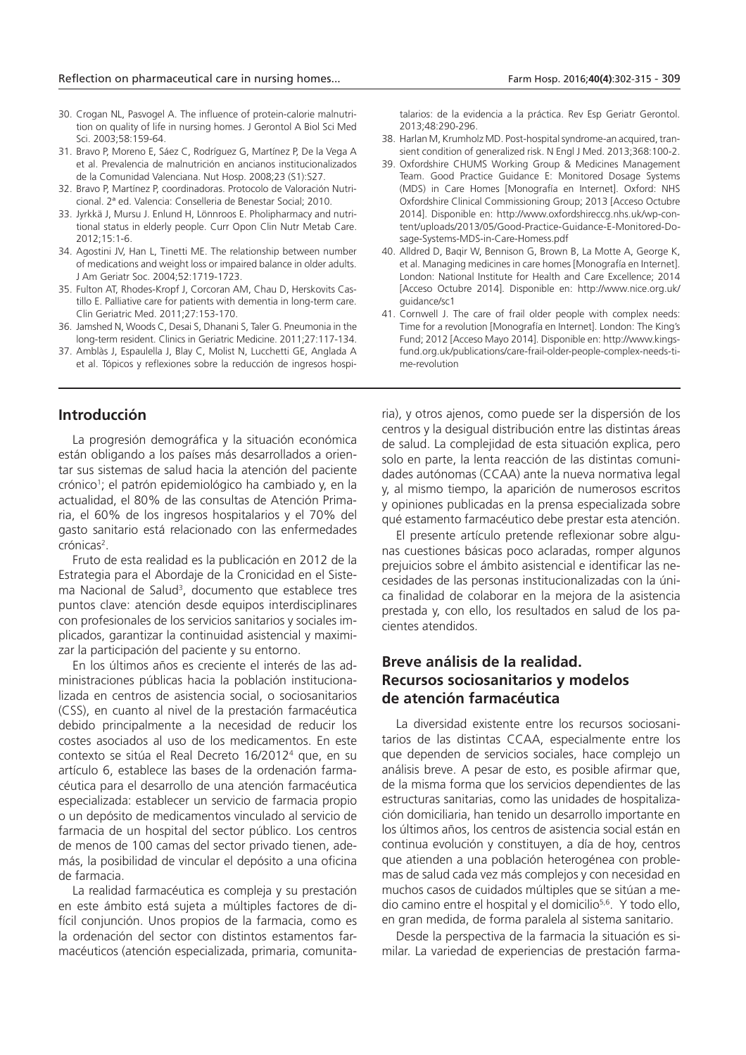- 30. Crogan NL, Pasvogel A. The influence of protein-calorie malnutrition on quality of life in nursing homes. J Gerontol A Biol Sci Med Sci. 2003;58:159-64.
- 31. Bravo P, Moreno E, Sáez C, Rodríguez G, Martínez P, De la Vega A et al. Prevalencia de malnutrición en ancianos institucionalizados de la Comunidad Valenciana. Nut Hosp. 2008;23 (S1):S27.
- 32. Bravo P, Martínez P, coordinadoras. Protocolo de Valoración Nutricional. 2ª ed. Valencia: Conselleria de Benestar Social; 2010.
- 33. Jyrkkä J, Mursu J. Enlund H, Lönnroos E. Pholipharmacy and nutritional status in elderly people. Curr Opon Clin Nutr Metab Care.  $2012.15:1-6$
- 34. Agostini JV, Han L, Tinetti ME. The relationship between number of medications and weight loss or impaired balance in older adults. J Am Geriatr Soc. 2004;52:1719-1723.
- 35. Fulton AT, Rhodes-Kropf J, Corcoran AM, Chau D, Herskovits Castillo E. Palliative care for patients with dementia in long-term care. Clin Geriatric Med. 2011;27:153-170.
- 36. Jamshed N, Woods C, Desai S, Dhanani S, Taler G. Pneumonia in the long-term resident. Clinics in Geriatric Medicine. 2011;27:117-134.
- 37. Amblàs J, Espaulella J, Blay C, Molist N, Lucchetti GE, Anglada A et al. Tópicos y reflexiones sobre la reducción de ingresos hospi-

#### **Introducción**

La progresión demográfica y la situación económica están obligando a los países más desarrollados a orientar sus sistemas de salud hacia la atención del paciente crónico<sup>1</sup> ; el patrón epidemiológico ha cambiado y, en la actualidad, el 80% de las consultas de Atención Primaria, el 60% de los ingresos hospitalarios y el 70% del gasto sanitario está relacionado con las enfermedades crónicas<sup>2</sup>.

Fruto de esta realidad es la publicación en 2012 de la Estrategia para el Abordaje de la Cronicidad en el Sistema Nacional de Salud<sup>3</sup>, documento que establece tres puntos clave: atención desde equipos interdisciplinares con profesionales de los servicios sanitarios y sociales implicados, garantizar la continuidad asistencial y maximizar la participación del paciente y su entorno.

En los últimos años es creciente el interés de las administraciones públicas hacia la población institucionalizada en centros de asistencia social, o sociosanitarios (CSS), en cuanto al nivel de la prestación farmacéutica debido principalmente a la necesidad de reducir los costes asociados al uso de los medicamentos. En este contexto se sitúa el Real Decreto 16/2012<sup>4</sup> que, en su artículo 6, establece las bases de la ordenación farmacéutica para el desarrollo de una atención farmacéutica especializada: establecer un servicio de farmacia propio o un depósito de medicamentos vinculado al servicio de farmacia de un hospital del sector público. Los centros de menos de 100 camas del sector privado tienen, además, la posibilidad de vincular el depósito a una oficina de farmacia.

La realidad farmacéutica es compleja y su prestación en este ámbito está sujeta a múltiples factores de difícil conjunción. Unos propios de la farmacia, como es la ordenación del sector con distintos estamentos farmacéuticos (atención especializada, primaria, comunitatalarios: de la evidencia a la práctica. Rev Esp Geriatr Gerontol. 2013;48:290-296.

- 38. Harlan M, Krumholz MD. Post-hospital syndrome-an acquired, transient condition of generalized risk. N Engl J Med. 2013;368:100-2.
- 39. Oxfordshire CHUMS Working Group & Medicines Management Team. Good Practice Guidance E: Monitored Dosage Systems (MDS) in Care Homes [Monografía en Internet]. Oxford: NHS Oxfordshire Clinical Commissioning Group; 2013 [Acceso Octubre 2014]. Disponible en: http://www.oxfordshireccg.nhs.uk/wp-content/uploads/2013/05/Good-Practice-Guidance-E-Monitored-Dosage-Systems-MDS-in-Care-Homess.pdf
- 40. Alldred D, Baqir W, Bennison G, Brown B, La Motte A, George K, et al. Managing medicines in care homes [Monografía en Internet]. London: National Institute for Health and Care Excellence; 2014 [Acceso Octubre 2014]. Disponible en: http://www.nice.org.uk/ guidance/sc1
- 41. Cornwell J. The care of frail older people with complex needs: Time for a revolution [Monografía en Internet]. London: The King's Fund; 2012 [Acceso Mayo 2014]. Disponible en: http://www.kingsfund.org.uk/publications/care-frail-older-people-complex-needs-time-revolution

ria), y otros ajenos, como puede ser la dispersión de los centros y la desigual distribución entre las distintas áreas de salud. La complejidad de esta situación explica, pero solo en parte, la lenta reacción de las distintas comunidades autónomas (CCAA) ante la nueva normativa legal y, al mismo tiempo, la aparición de numerosos escritos y opiniones publicadas en la prensa especializada sobre qué estamento farmacéutico debe prestar esta atención.

El presente artículo pretende reflexionar sobre algunas cuestiones básicas poco aclaradas, romper algunos prejuicios sobre el ámbito asistencial e identificar las necesidades de las personas institucionalizadas con la única finalidad de colaborar en la mejora de la asistencia prestada y, con ello, los resultados en salud de los pacientes atendidos.

### **Breve análisis de la realidad. Recursos sociosanitarios y modelos de atención farmacéutica**

La diversidad existente entre los recursos sociosanitarios de las distintas CCAA, especialmente entre los que dependen de servicios sociales, hace complejo un análisis breve. A pesar de esto, es posible afirmar que, de la misma forma que los servicios dependientes de las estructuras sanitarias, como las unidades de hospitalización domiciliaria, han tenido un desarrollo importante en los últimos años, los centros de asistencia social están en continua evolución y constituyen, a día de hoy, centros que atienden a una población heterogénea con problemas de salud cada vez más complejos y con necesidad en muchos casos de cuidados múltiples que se sitúan a medio camino entre el hospital y el domicilio<sup>5,6</sup>. Y todo ello, en gran medida, de forma paralela al sistema sanitario.

Desde la perspectiva de la farmacia la situación es similar. La variedad de experiencias de prestación farma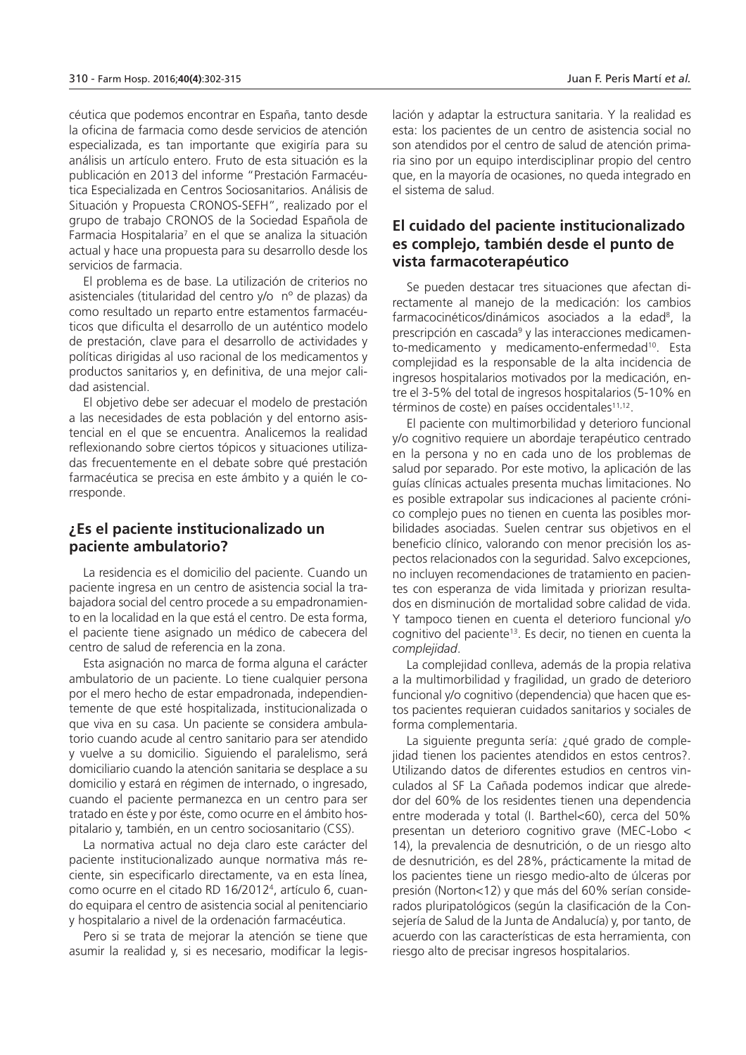céutica que podemos encontrar en España, tanto desde la oficina de farmacia como desde servicios de atención especializada, es tan importante que exigiría para su análisis un artículo entero. Fruto de esta situación es la publicación en 2013 del informe "Prestación Farmacéutica Especializada en Centros Sociosanitarios. Análisis de Situación y Propuesta CRONOS-SEFH", realizado por el grupo de trabajo CRONOS de la Sociedad Española de Farmacia Hospitalaria<sup>7</sup> en el que se analiza la situación actual y hace una propuesta para su desarrollo desde los servicios de farmacia.

El problema es de base. La utilización de criterios no asistenciales (titularidad del centro y/o nº de plazas) da como resultado un reparto entre estamentos farmacéuticos que dificulta el desarrollo de un auténtico modelo de prestación, clave para el desarrollo de actividades y políticas dirigidas al uso racional de los medicamentos y productos sanitarios y, en definitiva, de una mejor calidad asistencial.

El objetivo debe ser adecuar el modelo de prestación a las necesidades de esta población y del entorno asistencial en el que se encuentra. Analicemos la realidad reflexionando sobre ciertos tópicos y situaciones utilizadas frecuentemente en el debate sobre qué prestación farmacéutica se precisa en este ámbito y a quién le corresponde.

### **¿Es el paciente institucionalizado un paciente ambulatorio?**

La residencia es el domicilio del paciente. Cuando un paciente ingresa en un centro de asistencia social la trabajadora social del centro procede a su empadronamiento en la localidad en la que está el centro. De esta forma, el paciente tiene asignado un médico de cabecera del centro de salud de referencia en la zona.

Esta asignación no marca de forma alguna el carácter ambulatorio de un paciente. Lo tiene cualquier persona por el mero hecho de estar empadronada, independientemente de que esté hospitalizada, institucionalizada o que viva en su casa. Un paciente se considera ambulatorio cuando acude al centro sanitario para ser atendido y vuelve a su domicilio. Siguiendo el paralelismo, será domiciliario cuando la atención sanitaria se desplace a su domicilio y estará en régimen de internado, o ingresado, cuando el paciente permanezca en un centro para ser tratado en éste y por éste, como ocurre en el ámbito hospitalario y, también, en un centro sociosanitario (CSS).

La normativa actual no deja claro este carácter del paciente institucionalizado aunque normativa más reciente, sin especificarlo directamente, va en esta línea, como ocurre en el citado RD 16/2012<sup>4</sup> , artículo 6, cuando equipara el centro de asistencia social al penitenciario y hospitalario a nivel de la ordenación farmacéutica.

Pero si se trata de mejorar la atención se tiene que asumir la realidad y, si es necesario, modificar la legislación y adaptar la estructura sanitaria. Y la realidad es esta: los pacientes de un centro de asistencia social no son atendidos por el centro de salud de atención primaria sino por un equipo interdisciplinar propio del centro que, en la mayoría de ocasiones, no queda integrado en el sistema de salud.

### **El cuidado del paciente institucionalizado es complejo, también desde el punto de vista farmacoterapéutico**

Se pueden destacar tres situaciones que afectan directamente al manejo de la medicación: los cambios farmacocinéticos/dinámicos asociados a la edad<sup>8</sup>, la prescripción en cascada<sup>9</sup> y las interacciones medicamento-medicamento y medicamento-enfermedad<sup>10</sup>. Esta complejidad es la responsable de la alta incidencia de ingresos hospitalarios motivados por la medicación, entre el 3-5% del total de ingresos hospitalarios (5-10% en términos de coste) en países occidentales<sup>11,12</sup>.

El paciente con multimorbilidad y deterioro funcional y/o cognitivo requiere un abordaje terapéutico centrado en la persona y no en cada uno de los problemas de salud por separado. Por este motivo, la aplicación de las guías clínicas actuales presenta muchas limitaciones. No es posible extrapolar sus indicaciones al paciente crónico complejo pues no tienen en cuenta las posibles morbilidades asociadas. Suelen centrar sus objetivos en el beneficio clínico, valorando con menor precisión los aspectos relacionados con la seguridad. Salvo excepciones, no incluyen recomendaciones de tratamiento en pacientes con esperanza de vida limitada y priorizan resultados en disminución de mortalidad sobre calidad de vida. Y tampoco tienen en cuenta el deterioro funcional y/o cognitivo del paciente<sup>13</sup>. Es decir, no tienen en cuenta la *complejidad*.

La complejidad conlleva, además de la propia relativa a la multimorbilidad y fragilidad, un grado de deterioro funcional y/o cognitivo (dependencia) que hacen que estos pacientes requieran cuidados sanitarios y sociales de forma complementaria.

La siguiente pregunta sería: ¿qué grado de complejidad tienen los pacientes atendidos en estos centros?. Utilizando datos de diferentes estudios en centros vinculados al SF La Cañada podemos indicar que alrededor del 60% de los residentes tienen una dependencia entre moderada y total (I. Barthel<60), cerca del 50% presentan un deterioro cognitivo grave (MEC-Lobo < 14), la prevalencia de desnutrición, o de un riesgo alto de desnutrición, es del 28%, prácticamente la mitad de los pacientes tiene un riesgo medio-alto de úlceras por presión (Norton<12) y que más del 60% serían considerados pluripatológicos (según la clasificación de la Consejería de Salud de la Junta de Andalucía) y, por tanto, de acuerdo con las características de esta herramienta, con riesgo alto de precisar ingresos hospitalarios.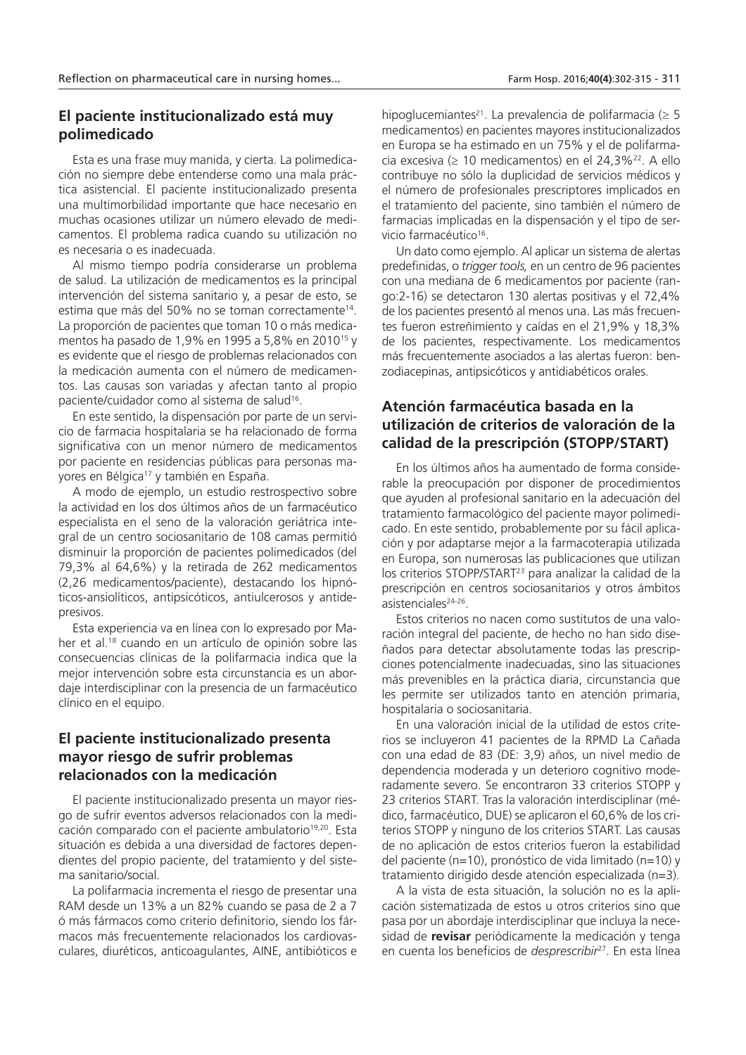### **El paciente institucionalizado está muy polimedicado**

Esta es una frase muy manida, y cierta. La polimedicación no siempre debe entenderse como una mala práctica asistencial. El paciente institucionalizado presenta una multimorbilidad importante que hace necesario en muchas ocasiones utilizar un número elevado de medicamentos. El problema radica cuando su utilización no es necesaria o es inadecuada.

Al mismo tiempo podría considerarse un problema de salud. La utilización de medicamentos es la principal intervención del sistema sanitario y, a pesar de esto, se estima que más del 50% no se toman correctamente<sup>14</sup>. La proporción de pacientes que toman 10 o más medicamentos ha pasado de 1,9% en 1995 a 5,8% en 2010<sup>15</sup> y es evidente que el riesgo de problemas relacionados con la medicación aumenta con el número de medicamentos. Las causas son variadas y afectan tanto al propio paciente/cuidador como al sistema de salud<sup>16</sup> .

En este sentido, la dispensación por parte de un servicio de farmacia hospitalaria se ha relacionado de forma significativa con un menor número de medicamentos por paciente en residencias públicas para personas mayores en Bélgica<sup>17</sup> y también en España.

A modo de ejemplo, un estudio restrospectivo sobre la actividad en los dos últimos años de un farmacéutico especialista en el seno de la valoración geriátrica integral de un centro sociosanitario de 108 camas permitió disminuir la proporción de pacientes polimedicados (del 79,3% al 64,6%) y la retirada de 262 medicamentos (2,26 medicamentos/paciente), destacando los hipnóticos-ansiolíticos, antipsicóticos, antiulcerosos y antidepresivos.

Esta experiencia va en línea con lo expresado por Maher et al.<sup>18</sup> cuando en un artículo de opinión sobre las consecuencias clínicas de la polifarmacia indica que la mejor intervención sobre esta circunstancia es un abordaje interdisciplinar con la presencia de un farmacéutico clínico en el equipo.

### **El paciente institucionalizado presenta mayor riesgo de sufrir problemas relacionados con la medicación**

El paciente institucionalizado presenta un mayor riesgo de sufrir eventos adversos relacionados con la medicación comparado con el paciente ambulatorio<sup>19,20</sup>. Esta situación es debida a una diversidad de factores dependientes del propio paciente, del tratamiento y del sistema sanitario/social.

La polifarmacia incrementa el riesgo de presentar una RAM desde un 13% a un 82% cuando se pasa de 2 a 7 ó más fármacos como criterio definitorio, siendo los fármacos más frecuentemente relacionados los cardiovasculares, diuréticos, anticoagulantes, AINE, antibióticos e hipoglucemiantes<sup>21</sup>. La prevalencia de polifarmacia ( $\geq$  5 medicamentos) en pacientes mayores institucionalizados en Europa se ha estimado en un 75% y el de polifarmacia excesiva (≥ 10 medicamentos) en el 24,3%<sup>22</sup>. A ello contribuye no sólo la duplicidad de servicios médicos y el número de profesionales prescriptores implicados en el tratamiento del paciente, sino también el número de farmacias implicadas en la dispensación y el tipo de servicio farmacéutico<sup>16</sup>.

Un dato como ejemplo. Al aplicar un sistema de alertas predefinidas, o *trigger tools,* en un centro de 96 pacientes con una mediana de 6 medicamentos por paciente (rango:2-16) se detectaron 130 alertas positivas y el 72,4% de los pacientes presentó al menos una. Las más frecuentes fueron estreñimiento y caídas en el 21,9% y 18,3% de los pacientes, respectivamente. Los medicamentos más frecuentemente asociados a las alertas fueron: benzodiacepinas, antipsicóticos y antidiabéticos orales.

### **Atención farmacéutica basada en la utilización de criterios de valoración de la calidad de la prescripción (STOPP/START)**

En los últimos años ha aumentado de forma considerable la preocupación por disponer de procedimientos que ayuden al profesional sanitario en la adecuación del tratamiento farmacológico del paciente mayor polimedicado. En este sentido, probablemente por su fácil aplicación y por adaptarse mejor a la farmacoterapia utilizada en Europa, son numerosas las publicaciones que utilizan los criterios STOPP/START<sup>23</sup> para analizar la calidad de la prescripción en centros sociosanitarios y otros ámbitos asistenciales<sup>24-26</sup>.

Estos criterios no nacen como sustitutos de una valoración integral del paciente, de hecho no han sido diseñados para detectar absolutamente todas las prescripciones potencialmente inadecuadas, sino las situaciones más prevenibles en la práctica diaria, circunstancia que les permite ser utilizados tanto en atención primaria, hospitalaria o sociosanitaria.

En una valoración inicial de la utilidad de estos criterios se incluyeron 41 pacientes de la RPMD La Cañada con una edad de 83 (DE: 3,9) años, un nivel medio de dependencia moderada y un deterioro cognitivo moderadamente severo. Se encontraron 33 criterios STOPP y 23 criterios START. Tras la valoración interdisciplinar (médico, farmacéutico, DUE) se aplicaron el 60,6% de los criterios STOPP y ninguno de los criterios START. Las causas de no aplicación de estos criterios fueron la estabilidad del paciente (n=10), pronóstico de vida limitado (n=10) y tratamiento dirigido desde atención especializada (n=3).

A la vista de esta situación, la solución no es la aplicación sistematizada de estos u otros criterios sino que pasa por un abordaje interdisciplinar que incluya la necesidad de **revisar** periódicamente la medicación y tenga en cuenta los beneficios de *desprescribir*27. En esta línea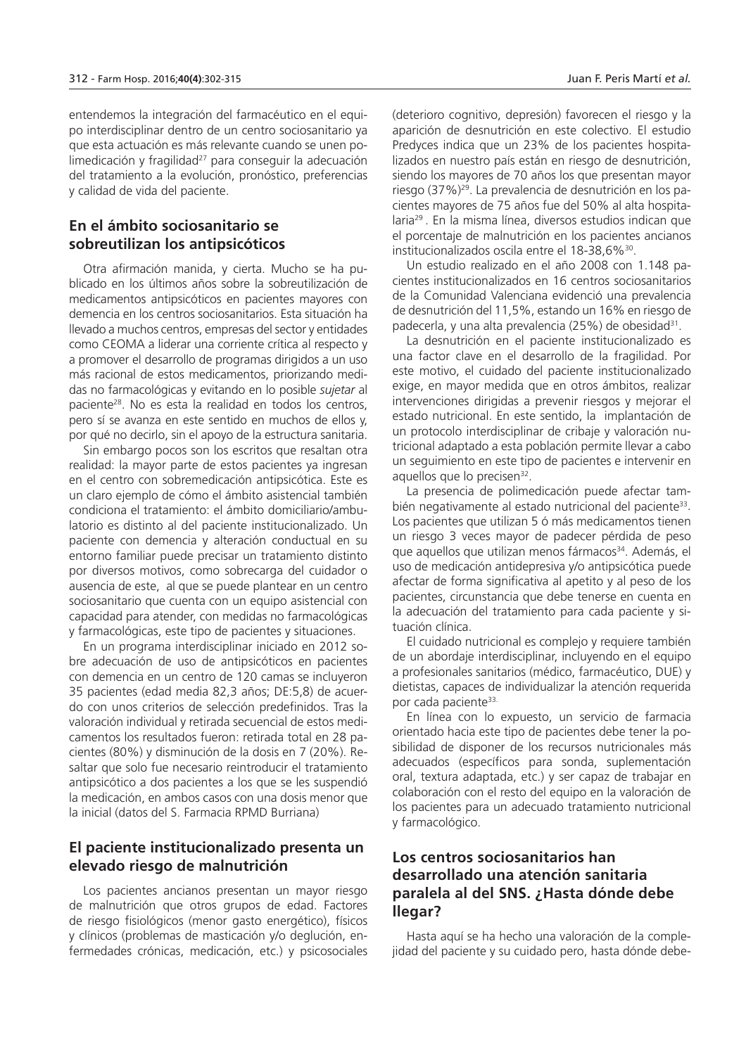entendemos la integración del farmacéutico en el equipo interdisciplinar dentro de un centro sociosanitario ya que esta actuación es más relevante cuando se unen polimedicación y fragilidad<sup>27</sup> para conseguir la adecuación del tratamiento a la evolución, pronóstico, preferencias y calidad de vida del paciente.

### **En el ámbito sociosanitario se sobreutilizan los antipsicóticos**

Otra afirmación manida, y cierta. Mucho se ha publicado en los últimos años sobre la sobreutilización de medicamentos antipsicóticos en pacientes mayores con demencia en los centros sociosanitarios. Esta situación ha llevado a muchos centros, empresas del sector y entidades como CEOMA a liderar una corriente crítica al respecto y a promover el desarrollo de programas dirigidos a un uso más racional de estos medicamentos, priorizando medidas no farmacológicas y evitando en lo posible *sujetar* al paciente<sup>28</sup>. No es esta la realidad en todos los centros, pero sí se avanza en este sentido en muchos de ellos y, por qué no decirlo, sin el apoyo de la estructura sanitaria.

Sin embargo pocos son los escritos que resaltan otra realidad: la mayor parte de estos pacientes ya ingresan en el centro con sobremedicación antipsicótica. Este es un claro ejemplo de cómo el ámbito asistencial también condiciona el tratamiento: el ámbito domiciliario/ambulatorio es distinto al del paciente institucionalizado. Un paciente con demencia y alteración conductual en su entorno familiar puede precisar un tratamiento distinto por diversos motivos, como sobrecarga del cuidador o ausencia de este, al que se puede plantear en un centro sociosanitario que cuenta con un equipo asistencial con capacidad para atender, con medidas no farmacológicas y farmacológicas, este tipo de pacientes y situaciones.

En un programa interdisciplinar iniciado en 2012 sobre adecuación de uso de antipsicóticos en pacientes con demencia en un centro de 120 camas se incluyeron 35 pacientes (edad media 82,3 años; DE:5,8) de acuerdo con unos criterios de selección predefinidos. Tras la valoración individual y retirada secuencial de estos medicamentos los resultados fueron: retirada total en 28 pacientes (80%) y disminución de la dosis en 7 (20%). Resaltar que solo fue necesario reintroducir el tratamiento antipsicótico a dos pacientes a los que se les suspendió la medicación, en ambos casos con una dosis menor que la inicial (datos del S. Farmacia RPMD Burriana)

### **El paciente institucionalizado presenta un elevado riesgo de malnutrición**

Los pacientes ancianos presentan un mayor riesgo de malnutrición que otros grupos de edad. Factores de riesgo fisiológicos (menor gasto energético), físicos y clínicos (problemas de masticación y/o deglución, enfermedades crónicas, medicación, etc.) y psicosociales

(deterioro cognitivo, depresión) favorecen el riesgo y la aparición de desnutrición en este colectivo. El estudio Predyces indica que un 23% de los pacientes hospitalizados en nuestro país están en riesgo de desnutrición, siendo los mayores de 70 años los que presentan mayor riesgo (37%)29. La prevalencia de desnutrición en los pacientes mayores de 75 años fue del 50% al alta hospitalaria<sup>29</sup>. En la misma línea, diversos estudios indican que el porcentaje de malnutrición en los pacientes ancianos institucionalizados oscila entre el 18-38,6%<sup>30</sup>.

Un estudio realizado en el año 2008 con 1.148 pacientes institucionalizados en 16 centros sociosanitarios de la Comunidad Valenciana evidenció una prevalencia de desnutrición del 11,5%, estando un 16% en riesgo de padecerla, y una alta prevalencia (25%) de obesidad<sup>31</sup>.

La desnutrición en el paciente institucionalizado es una factor clave en el desarrollo de la fragilidad. Por este motivo, el cuidado del paciente institucionalizado exige, en mayor medida que en otros ámbitos, realizar intervenciones dirigidas a prevenir riesgos y mejorar el estado nutricional. En este sentido, la implantación de un protocolo interdisciplinar de cribaje y valoración nutricional adaptado a esta población permite llevar a cabo un seguimiento en este tipo de pacientes e intervenir en aquellos que lo precisen<sup>32</sup>.

La presencia de polimedicación puede afectar también negativamente al estado nutricional del paciente<sup>33</sup>. Los pacientes que utilizan 5 ó más medicamentos tienen un riesgo 3 veces mayor de padecer pérdida de peso que aquellos que utilizan menos fármacos<sup>34</sup>. Además, el uso de medicación antidepresiva y/o antipsicótica puede afectar de forma significativa al apetito y al peso de los pacientes, circunstancia que debe tenerse en cuenta en la adecuación del tratamiento para cada paciente y situación clínica.

El cuidado nutricional es complejo y requiere también de un abordaje interdisciplinar, incluyendo en el equipo a profesionales sanitarios (médico, farmacéutico, DUE) y dietistas, capaces de individualizar la atención requerida por cada paciente<sup>33.</sup>

En línea con lo expuesto, un servicio de farmacia orientado hacia este tipo de pacientes debe tener la posibilidad de disponer de los recursos nutricionales más adecuados (específicos para sonda, suplementación oral, textura adaptada, etc.) y ser capaz de trabajar en colaboración con el resto del equipo en la valoración de los pacientes para un adecuado tratamiento nutricional y farmacológico.

# **Los centros sociosanitarios han desarrollado una atención sanitaria paralela al del SNS. ¿Hasta dónde debe llegar?**

Hasta aquí se ha hecho una valoración de la complejidad del paciente y su cuidado pero, hasta dónde debe-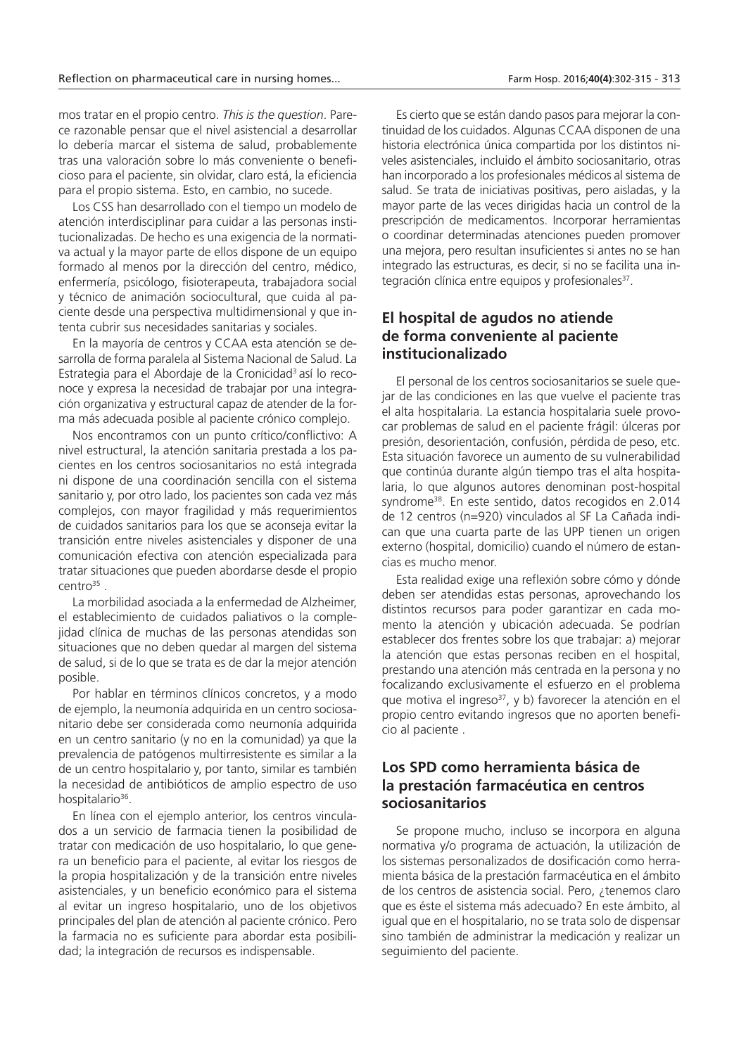mos tratar en el propio centro. *This is the question*. Parece razonable pensar que el nivel asistencial a desarrollar lo debería marcar el sistema de salud, probablemente tras una valoración sobre lo más conveniente o beneficioso para el paciente, sin olvidar, claro está, la eficiencia para el propio sistema. Esto, en cambio, no sucede.

Los CSS han desarrollado con el tiempo un modelo de atención interdisciplinar para cuidar a las personas institucionalizadas. De hecho es una exigencia de la normativa actual y la mayor parte de ellos dispone de un equipo formado al menos por la dirección del centro, médico, enfermería, psicólogo, fisioterapeuta, trabajadora social y técnico de animación sociocultural, que cuida al paciente desde una perspectiva multidimensional y que intenta cubrir sus necesidades sanitarias y sociales.

En la mayoría de centros y CCAA esta atención se desarrolla de forma paralela al Sistema Nacional de Salud. La Estrategia para el Abordaje de la Cronicidad<sup>3</sup> así lo reconoce y expresa la necesidad de trabajar por una integración organizativa y estructural capaz de atender de la forma más adecuada posible al paciente crónico complejo.

Nos encontramos con un punto crítico/conflictivo: A nivel estructural, la atención sanitaria prestada a los pacientes en los centros sociosanitarios no está integrada ni dispone de una coordinación sencilla con el sistema sanitario y, por otro lado, los pacientes son cada vez más complejos, con mayor fragilidad y más requerimientos de cuidados sanitarios para los que se aconseja evitar la transición entre niveles asistenciales y disponer de una comunicación efectiva con atención especializada para tratar situaciones que pueden abordarse desde el propio  $centro<sup>35</sup>$  .

La morbilidad asociada a la enfermedad de Alzheimer, el establecimiento de cuidados paliativos o la complejidad clínica de muchas de las personas atendidas son situaciones que no deben quedar al margen del sistema de salud, si de lo que se trata es de dar la mejor atención posible.

Por hablar en términos clínicos concretos, y a modo de ejemplo, la neumonía adquirida en un centro sociosanitario debe ser considerada como neumonía adquirida en un centro sanitario (y no en la comunidad) ya que la prevalencia de patógenos multirresistente es similar a la de un centro hospitalario y, por tanto, similar es también la necesidad de antibióticos de amplio espectro de uso hospitalario<sup>36</sup>.

En línea con el ejemplo anterior, los centros vinculados a un servicio de farmacia tienen la posibilidad de tratar con medicación de uso hospitalario, lo que genera un beneficio para el paciente, al evitar los riesgos de la propia hospitalización y de la transición entre niveles asistenciales, y un beneficio económico para el sistema al evitar un ingreso hospitalario, uno de los objetivos principales del plan de atención al paciente crónico. Pero la farmacia no es suficiente para abordar esta posibilidad; la integración de recursos es indispensable.

Es cierto que se están dando pasos para mejorar la continuidad de los cuidados. Algunas CCAA disponen de una historia electrónica única compartida por los distintos niveles asistenciales, incluido el ámbito sociosanitario, otras han incorporado a los profesionales médicos al sistema de salud. Se trata de iniciativas positivas, pero aisladas, y la mayor parte de las veces dirigidas hacia un control de la prescripción de medicamentos. Incorporar herramientas o coordinar determinadas atenciones pueden promover una mejora, pero resultan insuficientes si antes no se han integrado las estructuras, es decir, si no se facilita una integración clínica entre equipos y profesionales<sup>37</sup>.

### **El hospital de agudos no atiende de forma conveniente al paciente institucionalizado**

El personal de los centros sociosanitarios se suele quejar de las condiciones en las que vuelve el paciente tras el alta hospitalaria. La estancia hospitalaria suele provocar problemas de salud en el paciente frágil: úlceras por presión, desorientación, confusión, pérdida de peso, etc. Esta situación favorece un aumento de su vulnerabilidad que continúa durante algún tiempo tras el alta hospitalaria, lo que algunos autores denominan post-hospital syndrome<sup>38</sup>. En este sentido, datos recogidos en 2.014 de 12 centros (n=920) vinculados al SF La Cañada indican que una cuarta parte de las UPP tienen un origen externo (hospital, domicilio) cuando el número de estancias es mucho menor.

Esta realidad exige una reflexión sobre cómo y dónde deben ser atendidas estas personas, aprovechando los distintos recursos para poder garantizar en cada momento la atención y ubicación adecuada. Se podrían establecer dos frentes sobre los que trabajar: a) mejorar la atención que estas personas reciben en el hospital, prestando una atención más centrada en la persona y no focalizando exclusivamente el esfuerzo en el problema que motiva el ingreso<sup>37</sup>, y b) favorecer la atención en el propio centro evitando ingresos que no aporten beneficio al paciente .

# **Los SPD como herramienta básica de la prestación farmacéutica en centros sociosanitarios**

Se propone mucho, incluso se incorpora en alguna normativa y/o programa de actuación, la utilización de los sistemas personalizados de dosificación como herramienta básica de la prestación farmacéutica en el ámbito de los centros de asistencia social. Pero, ¿tenemos claro que es éste el sistema más adecuado? En este ámbito, al igual que en el hospitalario, no se trata solo de dispensar sino también de administrar la medicación y realizar un seguimiento del paciente.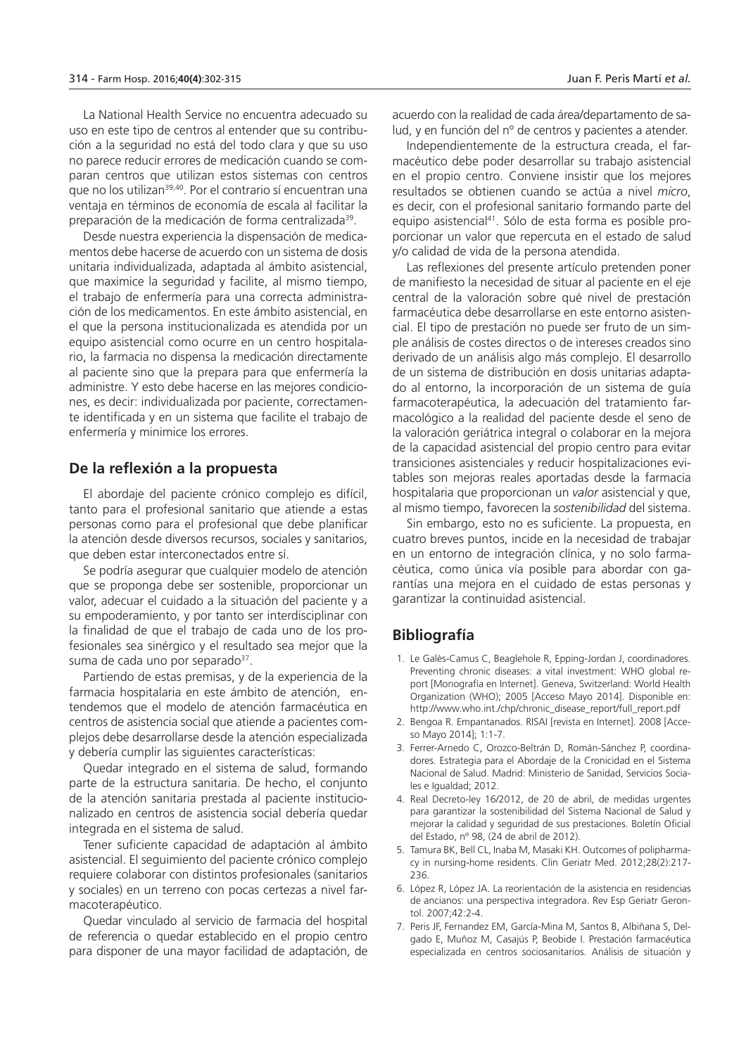La National Health Service no encuentra adecuado su uso en este tipo de centros al entender que su contribución a la seguridad no está del todo clara y que su uso no parece reducir errores de medicación cuando se comparan centros que utilizan estos sistemas con centros que no los utilizan<sup>39,40</sup>. Por el contrario sí encuentran una ventaja en términos de economía de escala al facilitar la preparación de la medicación de forma centralizada<sup>39</sup>.

Desde nuestra experiencia la dispensación de medicamentos debe hacerse de acuerdo con un sistema de dosis unitaria individualizada, adaptada al ámbito asistencial, que maximice la seguridad y facilite, al mismo tiempo, el trabajo de enfermería para una correcta administración de los medicamentos. En este ámbito asistencial, en el que la persona institucionalizada es atendida por un equipo asistencial como ocurre en un centro hospitalario, la farmacia no dispensa la medicación directamente al paciente sino que la prepara para que enfermería la administre. Y esto debe hacerse en las mejores condiciones, es decir: individualizada por paciente, correctamente identificada y en un sistema que facilite el trabajo de enfermería y minimice los errores.

#### **De la reflexión a la propuesta**

El abordaje del paciente crónico complejo es difícil, tanto para el profesional sanitario que atiende a estas personas como para el profesional que debe planificar la atención desde diversos recursos, sociales y sanitarios, que deben estar interconectados entre sí.

Se podría asegurar que cualquier modelo de atención que se proponga debe ser sostenible, proporcionar un valor, adecuar el cuidado a la situación del paciente y a su empoderamiento, y por tanto ser interdisciplinar con la finalidad de que el trabajo de cada uno de los profesionales sea sinérgico y el resultado sea mejor que la suma de cada uno por separado<sup>37</sup>.

Partiendo de estas premisas, y de la experiencia de la farmacia hospitalaria en este ámbito de atención, entendemos que el modelo de atención farmacéutica en centros de asistencia social que atiende a pacientes complejos debe desarrollarse desde la atención especializada y debería cumplir las siguientes características:

Quedar integrado en el sistema de salud, formando parte de la estructura sanitaria. De hecho, el conjunto de la atención sanitaria prestada al paciente institucionalizado en centros de asistencia social debería quedar integrada en el sistema de salud.

Tener suficiente capacidad de adaptación al ámbito asistencial. El seguimiento del paciente crónico complejo requiere colaborar con distintos profesionales (sanitarios y sociales) en un terreno con pocas certezas a nivel farmacoterapéutico.

Quedar vinculado al servicio de farmacia del hospital de referencia o quedar establecido en el propio centro para disponer de una mayor facilidad de adaptación, de

acuerdo con la realidad de cada área/departamento de salud, y en función del nº de centros y pacientes a atender.

Independientemente de la estructura creada, el farmacéutico debe poder desarrollar su trabajo asistencial en el propio centro. Conviene insistir que los mejores resultados se obtienen cuando se actúa a nivel *micro*, es decir, con el profesional sanitario formando parte del equipo asistencial41. Sólo de esta forma es posible proporcionar un valor que repercuta en el estado de salud y/o calidad de vida de la persona atendida.

Las reflexiones del presente artículo pretenden poner de manifiesto la necesidad de situar al paciente en el eje central de la valoración sobre qué nivel de prestación farmacéutica debe desarrollarse en este entorno asistencial. El tipo de prestación no puede ser fruto de un simple análisis de costes directos o de intereses creados sino derivado de un análisis algo más complejo. El desarrollo de un sistema de distribución en dosis unitarias adaptado al entorno, la incorporación de un sistema de guía farmacoterapéutica, la adecuación del tratamiento farmacológico a la realidad del paciente desde el seno de la valoración geriátrica integral o colaborar en la mejora de la capacidad asistencial del propio centro para evitar transiciones asistenciales y reducir hospitalizaciones evitables son mejoras reales aportadas desde la farmacia hospitalaria que proporcionan un *valor* asistencial y que, al mismo tiempo, favorecen la *sostenibilidad* del sistema.

Sin embargo, esto no es suficiente. La propuesta, en cuatro breves puntos, incide en la necesidad de trabajar en un entorno de integración clínica, y no solo farmacéutica, como única vía posible para abordar con garantías una mejora en el cuidado de estas personas y garantizar la continuidad asistencial.

#### **Bibliografía**

- 1. Le Galès-Camus C, Beaglehole R, Epping-Jordan J, coordinadores. Preventing chronic diseases: a vital investment: WHO global report [Monografía en Internet]. Geneva, Switzerland: World Health Organization (WHO); 2005 [Acceso Mayo 2014]. Disponible en: http://www.who.int./chp/chronic\_disease\_report/full\_report.pdf
- 2. Bengoa R. Empantanados. RISAI [revista en Internet]. 2008 [Acceso Mayo 2014]; 1:1-7.
- 3. Ferrer-Arnedo C, Orozco-Beltrán D, Román-Sánchez P, coordinadores. Estrategia para el Abordaje de la Cronicidad en el Sistema Nacional de Salud. Madrid: Ministerio de Sanidad, Servicios Sociales e Igualdad; 2012.
- 4. Real Decreto-ley 16/2012, de 20 de abril, de medidas urgentes para garantizar la sostenibilidad del Sistema Nacional de Salud y mejorar la calidad y seguridad de sus prestaciones. Boletín Oficial del Estado, nº 98, (24 de abril de 2012).
- 5. Tamura BK, Bell CL, Inaba M, Masaki KH. Outcomes of polipharmacy in nursing-home residents. Clin Geriatr Med. 2012;28(2):217- 236.
- 6. López R, López JA. La reorientación de la asistencia en residencias de ancianos: una perspectiva integradora. Rev Esp Geriatr Gerontol. 2007;42:2-4.
- 7. Peris JF, Fernandez EM, García-Mina M, Santos B, Albiñana S, Delgado E, Muñoz M, Casajús P, Beobide I. Prestación farmacéutica especializada en centros sociosanitarios. Análisis de situación y